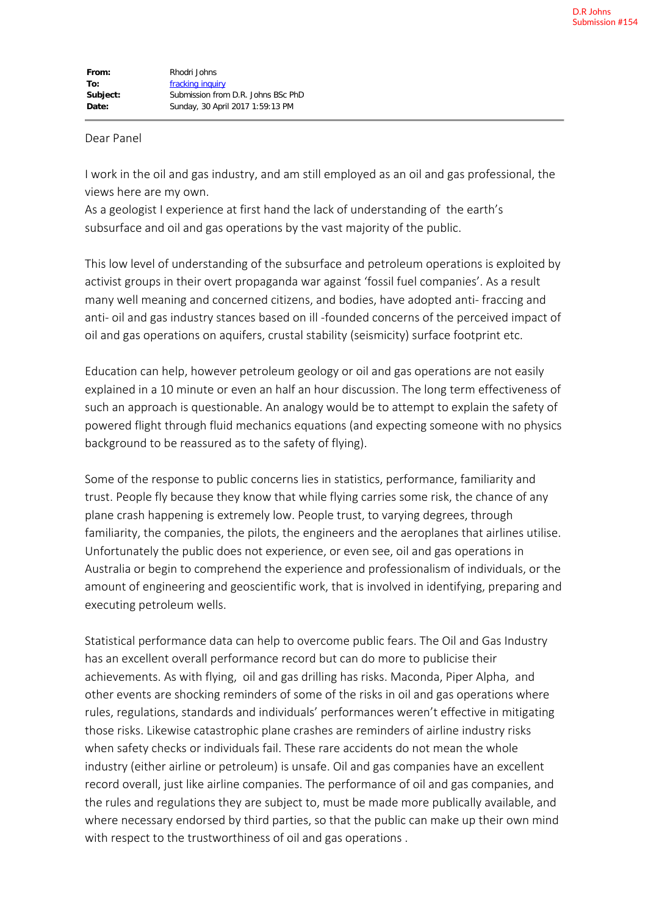## Dear Panel

I work in the oil and gas industry, and am still employed as an oil and gas professional, the views here are my own.

As a geologist I experience at first hand the lack of understanding of the earth's subsurface and oil and gas operations by the vast majority of the public.

This low level of understanding of the subsurface and petroleum operations is exploited by activist groups in their overt propaganda war against 'fossil fuel companies'. As a result many well meaning and concerned citizens, and bodies, have adopted anti- fraccing and anti- oil and gas industry stances based on ill -founded concerns of the perceived impact of oil and gas operations on aquifers, crustal stability (seismicity) surface footprint etc.

Education can help, however petroleum geology or oil and gas operations are not easily explained in a 10 minute or even an half an hour discussion. The long term effectiveness of such an approach is questionable. An analogy would be to attempt to explain the safety of powered flight through fluid mechanics equations (and expecting someone with no physics background to be reassured as to the safety of flying).

Some of the response to public concerns lies in statistics, performance, familiarity and trust. People fly because they know that while flying carries some risk, the chance of any plane crash happening is extremely low. People trust, to varying degrees, through familiarity, the companies, the pilots, the engineers and the aeroplanes that airlines utilise. Unfortunately the public does not experience, or even see, oil and gas operations in Australia or begin to comprehend the experience and professionalism of individuals, or the amount of engineering and geoscientific work, that is involved in identifying, preparing and executing petroleum wells.

Statistical performance data can help to overcome public fears. The Oil and Gas Industry has an excellent overall performance record but can do more to publicise their achievements. As with flying, oil and gas drilling has risks. Maconda, Piper Alpha, and other events are shocking reminders of some of the risks in oil and gas operations where rules, regulations, standards and individuals' performances weren't effective in mitigating those risks. Likewise catastrophic plane crashes are reminders of airline industry risks when safety checks or individuals fail. These rare accidents do not mean the whole industry (either airline or petroleum) is unsafe. Oil and gas companies have an excellent record overall, just like airline companies. The performance of oil and gas companies, and the rules and regulations they are subject to, must be made more publically available, and where necessary endorsed by third parties, so that the public can make up their own mind with respect to the trustworthiness of oil and gas operations .